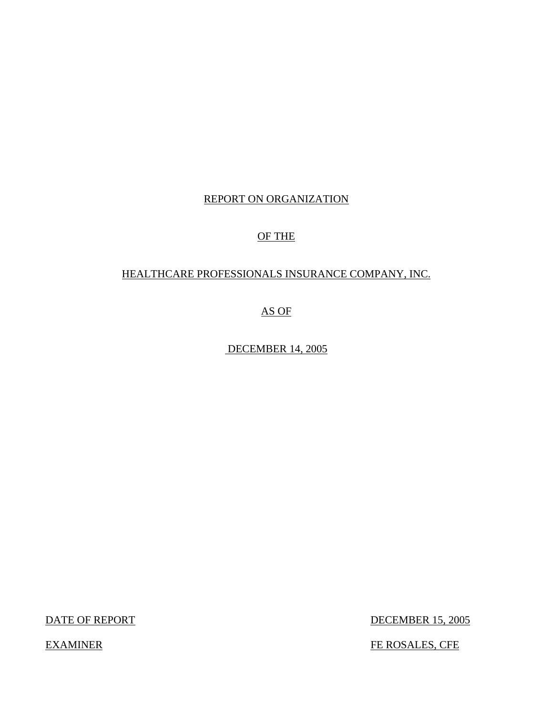# REPORT ON ORGANIZATION

# OF THE

## HEALTHCARE PROFESSIONALS INSURANCE COMPANY, INC.

## AS OF

DECEMBER 14, 2005

DATE OF REPORT DECEMBER 15, 2005

EXAMINER FE ROSALES, CFE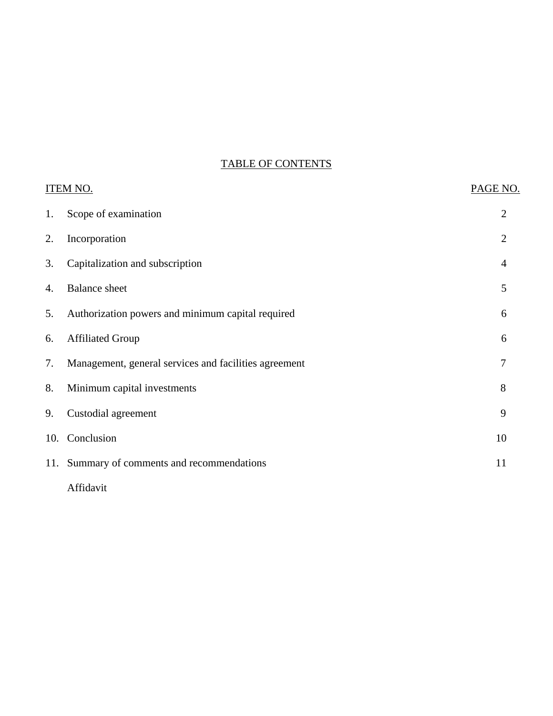# TABLE OF CONTENTS

| <b>ITEM NO.</b> |                                                       | PAGE NO.       |
|-----------------|-------------------------------------------------------|----------------|
| 1.              | Scope of examination                                  | 2              |
| 2.              | Incorporation                                         | $\overline{2}$ |
| 3.              | Capitalization and subscription                       | 4              |
| 4.              | <b>Balance</b> sheet                                  | 5              |
| 5.              | Authorization powers and minimum capital required     | 6              |
| 6.              | <b>Affiliated Group</b>                               | 6              |
| 7.              | Management, general services and facilities agreement | 7              |
| 8.              | Minimum capital investments                           | 8              |
| 9.              | Custodial agreement                                   | 9              |
|                 | 10. Conclusion                                        | 10             |
|                 | 11. Summary of comments and recommendations           | 11             |
|                 | Affidavit                                             |                |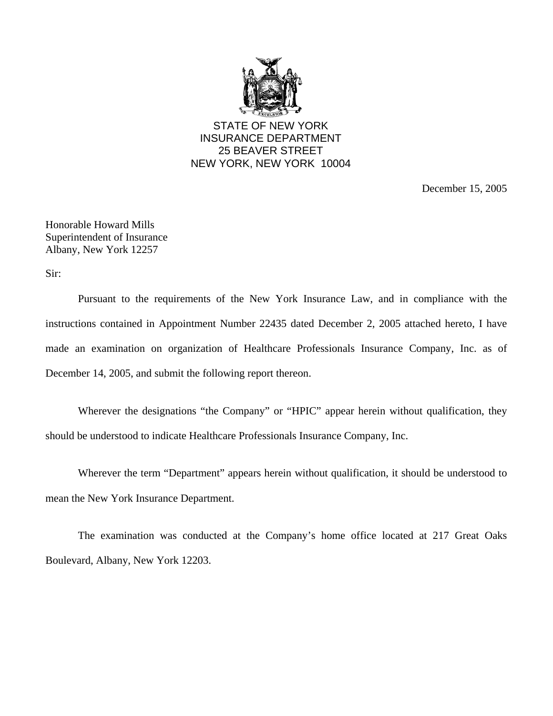

STATE OF NEW YORK INSURANCE DEPARTMENT 25 BEAVER STREET NEW YORK, NEW YORK 10004

December 15, 2005

Honorable Howard Mills Superintendent of Insurance Albany, New York 12257

Sir:

Pursuant to the requirements of the New York Insurance Law, and in compliance with the instructions contained in Appointment Number 22435 dated December 2, 2005 attached hereto, I have made an examination on organization of Healthcare Professionals Insurance Company, Inc. as of December 14, 2005, and submit the following report thereon.

Wherever the designations "the Company" or "HPIC" appear herein without qualification, they should be understood to indicate Healthcare Professionals Insurance Company, Inc.

Wherever the term "Department" appears herein without qualification, it should be understood to mean the New York Insurance Department.

The examination was conducted at the Company's home office located at 217 Great Oaks Boulevard, Albany, New York 12203.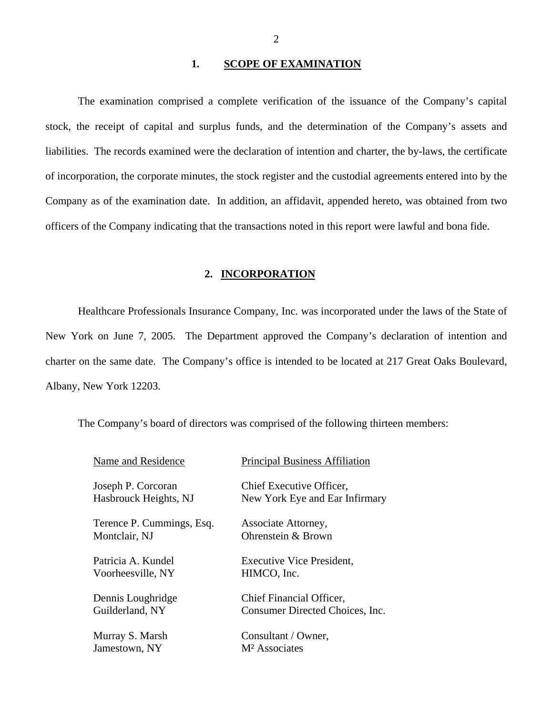## 1. SCOPE OF EXAMINATION

The examination comprised a complete verification of the issuance of the Company's capital stock, the receipt of capital and surplus funds, and the determination of the Company's assets and liabilities. The records examined were the declaration of intention and charter, the by-laws, the certificate of incorporation, the corporate minutes, the stock register and the custodial agreements entered into by the Company as of the examination date. In addition, an affidavit, appended hereto, was obtained from two officers of the Company indicating that the transactions noted in this report were lawful and bona fide.

## **2. INCORPORATION**

Healthcare Professionals Insurance Company, Inc. was incorporated under the laws of the State of New York on June 7, 2005. The Department approved the Company's declaration of intention and charter on the same date. The Company's office is intended to be located at 217 Great Oaks Boulevard, Albany, New York 12203.

The Company's board of directors was comprised of the following thirteen members:

| Name and Residence        | <b>Principal Business Affiliation</b> |
|---------------------------|---------------------------------------|
| Joseph P. Corcoran        | Chief Executive Officer,              |
| Hasbrouck Heights, NJ     | New York Eye and Ear Infirmary        |
| Terence P. Cummings, Esq. | Associate Attorney,                   |
| Montclair, NJ             | Ohrenstein & Brown                    |
| Patricia A. Kundel        | <b>Executive Vice President,</b>      |
| Voorheesville, NY         | HIMCO, Inc.                           |
| Dennis Loughridge         | Chief Financial Officer,              |
| Guilderland, NY           | Consumer Directed Choices, Inc.       |
| Murray S. Marsh           | Consultant / Owner,                   |
| Jamestown, NY             | M <sup>2</sup> Associates             |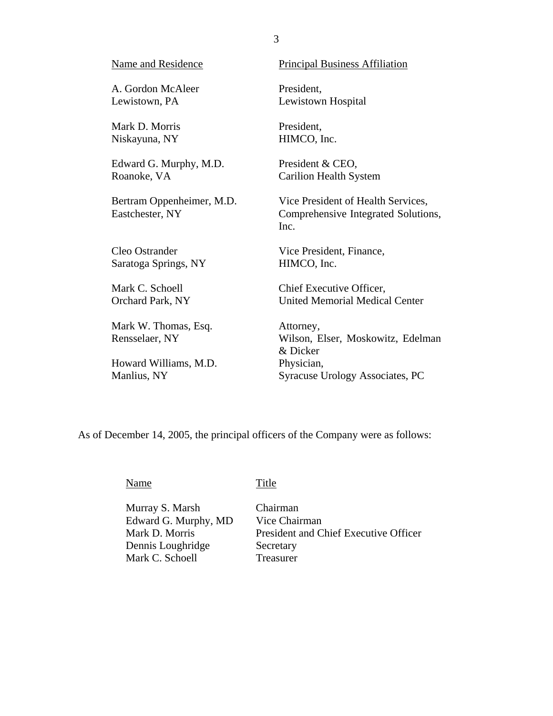| <b>Name and Residence</b>                    | <b>Principal Business Affiliation</b>                                             |
|----------------------------------------------|-----------------------------------------------------------------------------------|
| A. Gordon McAleer                            | President,                                                                        |
| Lewistown, PA                                | Lewistown Hospital                                                                |
| Mark D. Morris                               | President,                                                                        |
| Niskayuna, NY                                | HIMCO, Inc.                                                                       |
| Edward G. Murphy, M.D.                       | President & CEO,                                                                  |
| Roanoke, VA                                  | <b>Carilion Health System</b>                                                     |
| Bertram Oppenheimer, M.D.<br>Eastchester, NY | Vice President of Health Services,<br>Comprehensive Integrated Solutions,<br>Inc. |
| Cleo Ostrander                               | Vice President, Finance,                                                          |
| Saratoga Springs, NY                         | HIMCO, Inc.                                                                       |
| Mark C. Schoell                              | Chief Executive Officer,                                                          |
| Orchard Park, NY                             | <b>United Memorial Medical Center</b>                                             |
| Mark W. Thomas, Esq.<br>Rensselaer, NY       | Attorney,<br>Wilson, Elser, Moskowitz, Edelman<br>& Dicker                        |
| Howard Williams, M.D.                        | Physician,                                                                        |
| Manlius, NY                                  | Syracuse Urology Associates, PC                                                   |

As of December 14, 2005, the principal officers of the Company were as follows:

Name

Title

Murray S. Marsh Edward G. Murphy, MD Mark D. Morris Dennis Loughridge Mark C. Schoell

Chairman Vice Chairman President and Chief Executive Officer **Secretary** Treasurer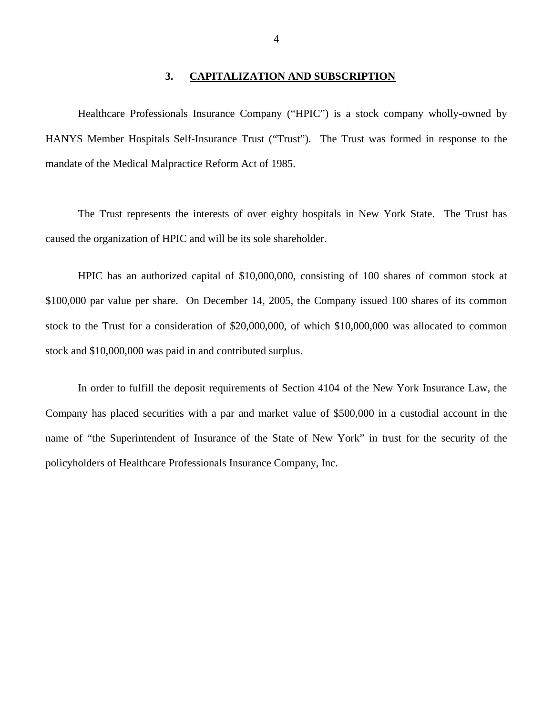### **3. CAPITALIZATION AND SUBSCRIPTION**

<span id="page-5-0"></span>Healthcare Professionals Insurance Company ("HPIC") is a stock company wholly-owned by HANYS Member Hospitals Self-Insurance Trust ("Trust"). The Trust was formed in response to the mandate of the Medical Malpractice Reform Act of 1985.

The Trust represents the interests of over eighty hospitals in New York State. The Trust has caused the organization of HPIC and will be its sole shareholder.

HPIC has an authorized capital of \$10,000,000, consisting of 100 shares of common stock at \$100,000 par value per share. On December 14, 2005, the Company issued 100 shares of its common stock to the Trust for a consideration of \$20,000,000, of which \$10,000,000 was allocated to common stock and \$10,000,000 was paid in and contributed surplus.

In order to fulfill the deposit requirements of Section 4104 of the New York Insurance Law, the Company has placed securities with a par and market value of \$500,000 in a custodial account in the name of "the Superintendent of Insurance of the State of New York" in trust for the security of the policyholders of Healthcare Professionals Insurance Company, Inc.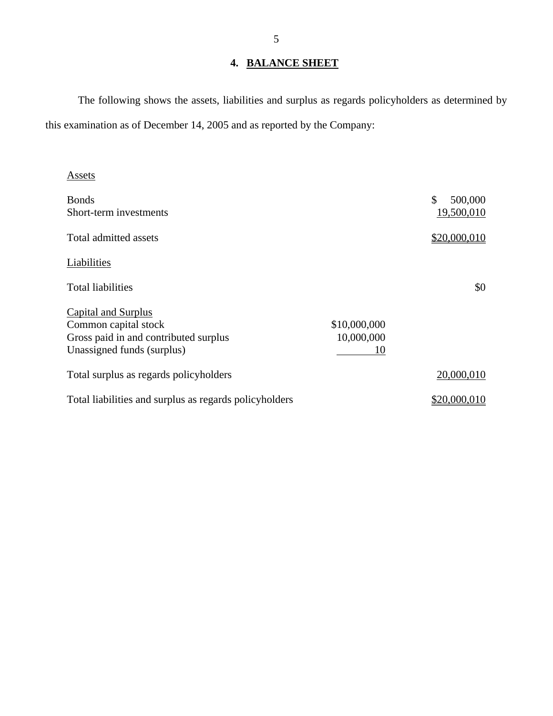# **4. BALANCE SHEET**

The following shows the assets, liabilities and surplus as regards policyholders as determined by this examination as of December 14, 2005 and as reported by the Company:

| Assets                                                                                                                    |                                  |                             |
|---------------------------------------------------------------------------------------------------------------------------|----------------------------------|-----------------------------|
| <b>Bonds</b><br>Short-term investments                                                                                    |                                  | \$<br>500,000<br>19,500,010 |
| Total admitted assets                                                                                                     |                                  | \$20,000,010                |
| Liabilities                                                                                                               |                                  |                             |
| <b>Total liabilities</b>                                                                                                  |                                  | \$0                         |
| <b>Capital and Surplus</b><br>Common capital stock<br>Gross paid in and contributed surplus<br>Unassigned funds (surplus) | \$10,000,000<br>10,000,000<br>10 |                             |
| Total surplus as regards policyholders                                                                                    |                                  | 20,000,010                  |
| Total liabilities and surplus as regards policyholders                                                                    |                                  | \$20,000,010                |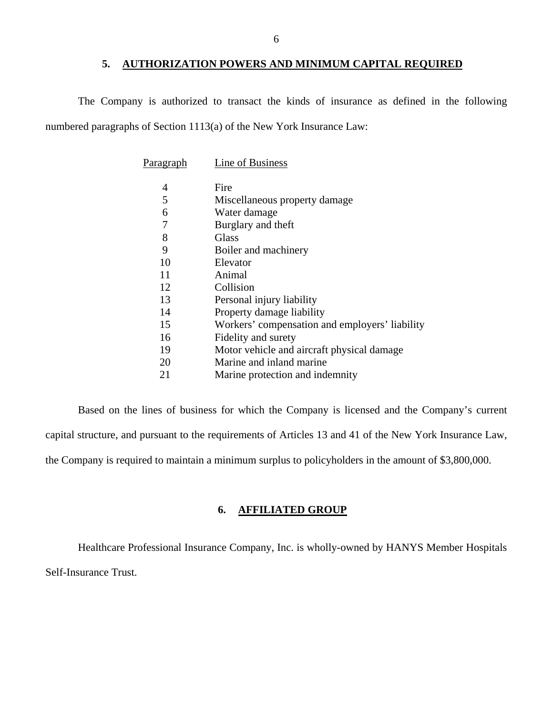## **5. AUTHORIZATION POWERS AND MINIMUM CAPITAL REQUIRED**

<span id="page-7-0"></span>The Company is authorized to transact the kinds of insurance as defined in the following numbered paragraphs of Section 1113(a) of the New York Insurance Law:

| Paragraph | Line of Business                               |
|-----------|------------------------------------------------|
| 4         | Fire                                           |
| 5         | Miscellaneous property damage                  |
| 6         | Water damage                                   |
| 7         | Burglary and theft                             |
| 8         | Glass                                          |
| 9         | Boiler and machinery                           |
| 10        | Elevator                                       |
| 11        | Animal                                         |
| 12        | Collision                                      |
| 13        | Personal injury liability                      |
| 14        | Property damage liability                      |
| 15        | Workers' compensation and employers' liability |
| 16        | Fidelity and surety                            |
| 19        | Motor vehicle and aircraft physical damage     |
| 20        | Marine and inland marine                       |
| 21        | Marine protection and indemnity                |

Based on the lines of business for which the Company is licensed and the Company's current capital structure, and pursuant to the requirements of Articles 13 and 41 of the New York Insurance Law, the Company is required to maintain a minimum surplus to policyholders in the amount of \$3,800,000.

## **6. AFFILIATED GROUP**

Healthcare Professional Insurance Company, Inc. is wholly-owned by HANYS Member Hospitals Self-Insurance Trust.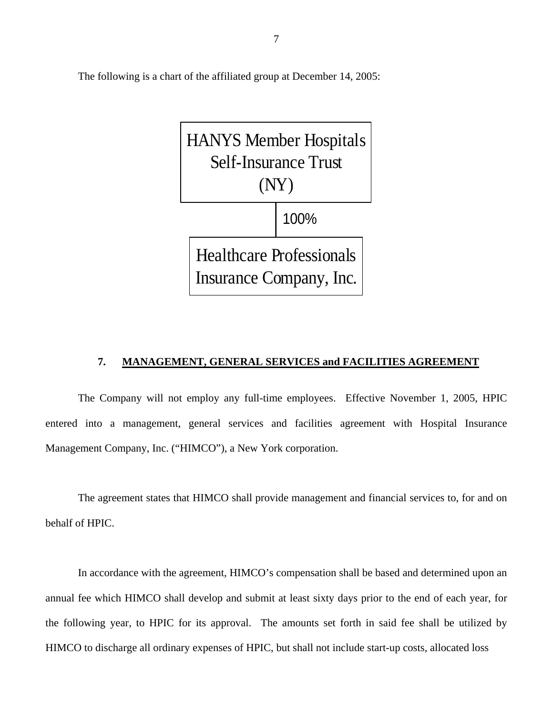<span id="page-8-0"></span>The following is a chart of the affiliated group at December 14, 2005:



#### **7. MANAGEMENT, GENERAL SERVICES and FACILITIES AGREEMENT**

The Company will not employ any full-time employees. Effective November 1, 2005, HPIC entered into a management, general services and facilities agreement with Hospital Insurance Management Company, Inc. ("HIMCO"), a New York corporation.

The agreement states that HIMCO shall provide management and financial services to, for and on behalf of HPIC.

In accordance with the agreement, HIMCO's compensation shall be based and determined upon an annual fee which HIMCO shall develop and submit at least sixty days prior to the end of each year, for the following year, to HPIC for its approval. The amounts set forth in said fee shall be utilized by HIMCO to discharge all ordinary expenses of HPIC, but shall not include start-up costs, allocated loss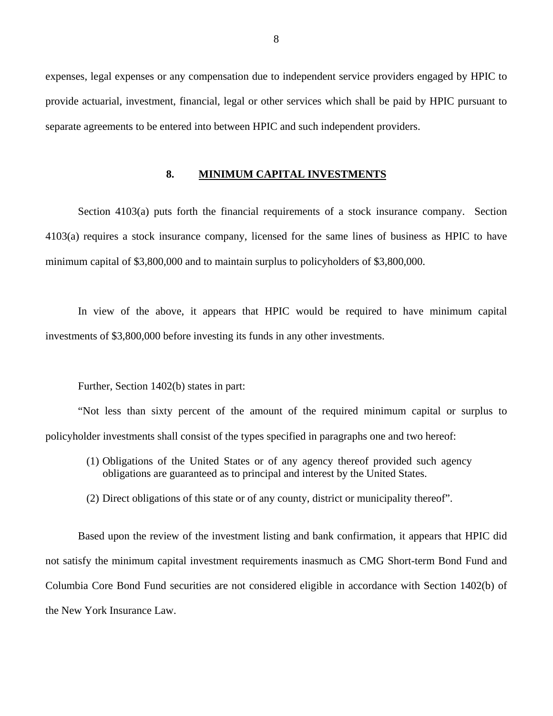<span id="page-9-0"></span>expenses, legal expenses or any compensation due to independent service providers engaged by HPIC to provide actuarial, investment, financial, legal or other services which shall be paid by HPIC pursuant to separate agreements to be entered into between HPIC and such independent providers.

#### **8. MINIMUM CAPITAL INVESTMENTS**

Section 4103(a) puts forth the financial requirements of a stock insurance company. Section 4103(a) requires a stock insurance company, licensed for the same lines of business as HPIC to have minimum capital of \$3,800,000 and to maintain surplus to policyholders of \$3,800,000.

In view of the above, it appears that HPIC would be required to have minimum capital investments of \$3,800,000 before investing its funds in any other investments.

Further, Section 1402(b) states in part:

"Not less than sixty percent of the amount of the required minimum capital or surplus to policyholder investments shall consist of the types specified in paragraphs one and two hereof:

- (1) Obligations of the United States or of any agency thereof provided such agency obligations are guaranteed as to principal and interest by the United States.
- (2) Direct obligations of this state or of any county, district or municipality thereof".

Based upon the review of the investment listing and bank confirmation, it appears that HPIC did not satisfy the minimum capital investment requirements inasmuch as CMG Short-term Bond Fund and Columbia Core Bond Fund securities are not considered eligible in accordance with Section 1402(b) of the New York Insurance Law.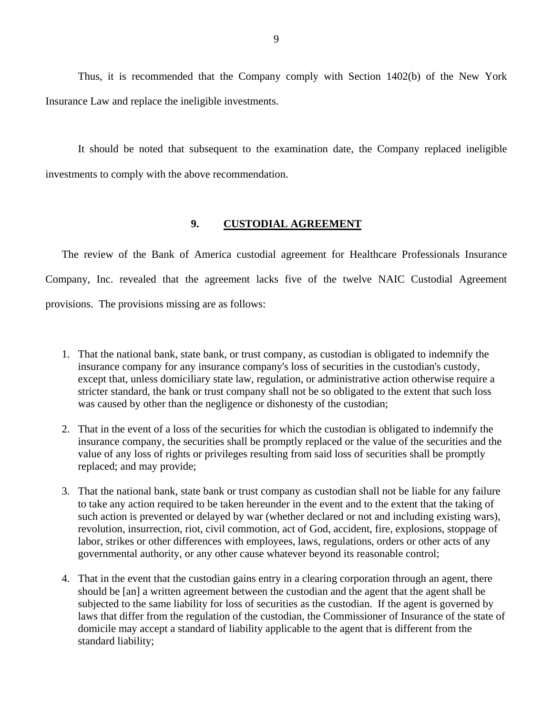<span id="page-10-0"></span>Thus, it is recommended that the Company comply with Section 1402(b) of the New York Insurance Law and replace the ineligible investments.

It should be noted that subsequent to the examination date, the Company replaced ineligible investments to comply with the above recommendation.

## **9. CUSTODIAL AGREEMENT**

The review of the Bank of America custodial agreement for Healthcare Professionals Insurance Company, Inc. revealed that the agreement lacks five of the twelve NAIC Custodial Agreement provisions. The provisions missing are as follows:

- 1. That the national bank, state bank, or trust company, as custodian is obligated to indemnify the insurance company for any insurance company's loss of securities in the custodian's custody, except that, unless domiciliary state law, regulation, or administrative action otherwise require a stricter standard, the bank or trust company shall not be so obligated to the extent that such loss was caused by other than the negligence or dishonesty of the custodian;
- 2. That in the event of a loss of the securities for which the custodian is obligated to indemnify the insurance company, the securities shall be promptly replaced or the value of the securities and the value of any loss of rights or privileges resulting from said loss of securities shall be promptly replaced; and may provide;
- 3. That the national bank, state bank or trust company as custodian shall not be liable for any failure to take any action required to be taken hereunder in the event and to the extent that the taking of such action is prevented or delayed by war (whether declared or not and including existing wars), revolution, insurrection, riot, civil commotion, act of God, accident, fire, explosions, stoppage of labor, strikes or other differences with employees, laws, regulations, orders or other acts of any governmental authority, or any other cause whatever beyond its reasonable control;
- 4. That in the event that the custodian gains entry in a clearing corporation through an agent, there should be [an] a written agreement between the custodian and the agent that the agent shall be subjected to the same liability for loss of securities as the custodian. If the agent is governed by laws that differ from the regulation of the custodian, the Commissioner of Insurance of the state of domicile may accept a standard of liability applicable to the agent that is different from the standard liability;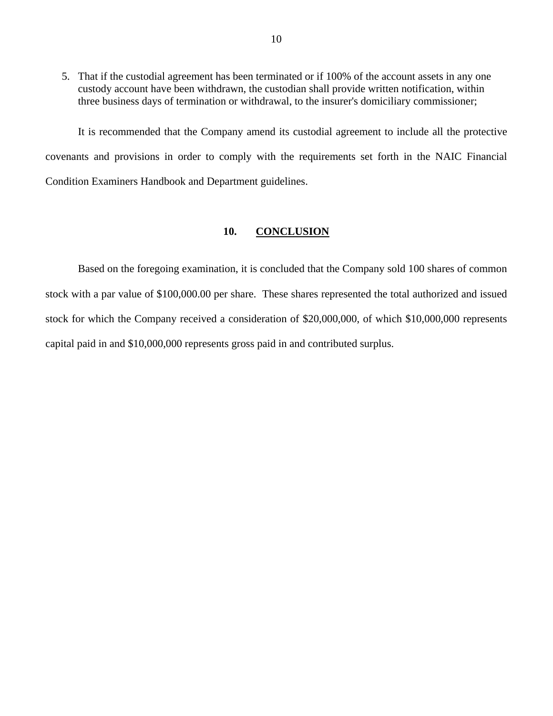<span id="page-11-0"></span>5. That if the custodial agreement has been terminated or if 100% of the account assets in any one custody account have been withdrawn, the custodian shall provide written notification, within three business days of termination or withdrawal, to the insurer's domiciliary commissioner;

It is recommended that the Company amend its custodial agreement to include all the protective covenants and provisions in order to comply with the requirements set forth in the NAIC Financial Condition Examiners Handbook and Department guidelines.

#### **10. CONCLUSION**

Based on the foregoing examination, it is concluded that the Company sold 100 shares of common stock with a par value of \$[100,000.00](https://100,000.00) per share. These shares represented the total authorized and issued stock for which the Company received a consideration of \$20,000,000, of which \$10,000,000 represents capital paid in and \$10,000,000 represents gross paid in and contributed surplus.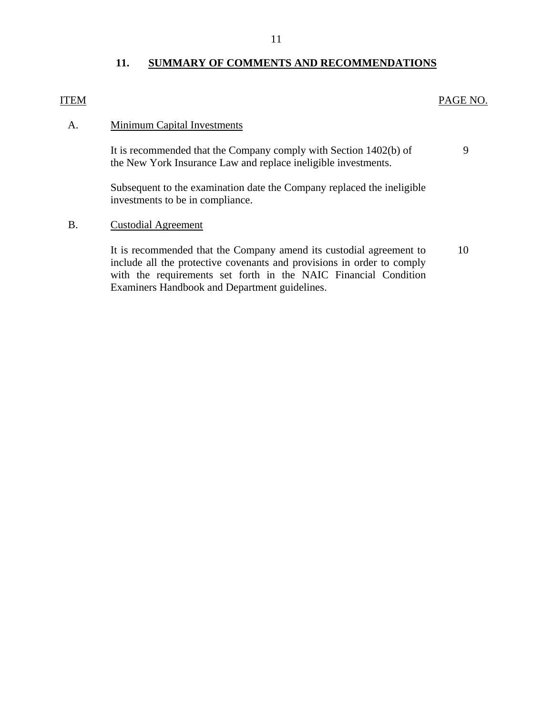## **11. SUMMARY OF COMMENTS AND RECOMMENDATIONS**

## <span id="page-12-0"></span>**ITEM**

## PAGE NO.

9

### A. Minimum Capital Investments

It is recommended that the Company comply with Section 1402(b) of the New York Insurance Law and replace ineligible investments.

Subsequent to the examination date the Company replaced the ineligible investments to be in compliance.

## B. Custodial Agreement

It is recommended that the Company amend its custodial agreement to 10 include all the protective covenants and provisions in order to comply with the requirements set forth in the NAIC Financial Condition Examiners Handbook and Department guidelines.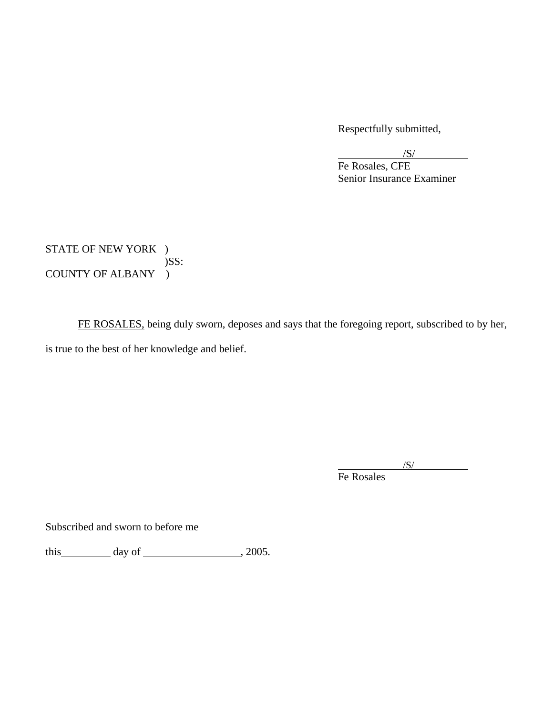Respectfully submitted,

 $\sqrt{S/2}$  $\overline{\phantom{a}}$  /S/

 Fe Rosales, CFE Senior Insurance Examiner

STATE OF NEW YORK ) )SS: COUNTY OF ALBANY )

FE ROSALES, being duly sworn, deposes and says that the foregoing report, subscribed to by her, is true to the best of her knowledge and belief.

 $\sqrt{S/}$ Fe Rosales

Subscribed and sworn to before me

this  $\qquad \qquad \text{day of} \qquad \qquad .2005.$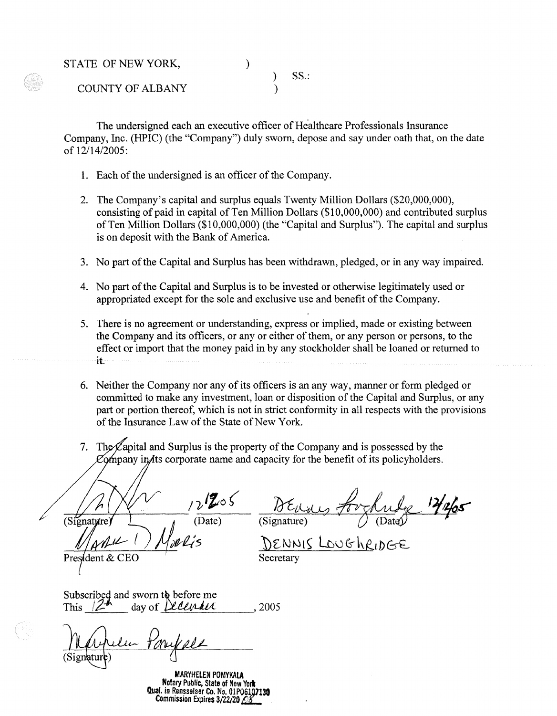STATE OF NEW YORK,  $SS.$ : COUNTY OF ALBANY )

The undersigned each an executive officer of Healthcare Professionals Insurance Company, Inc. (HPIC) (the "Company") duly sworn, depose and say under oath that, on the date of 12/14/2005:

- 1. Each of the undersigned is an officer of the Company.
- 2. The Company's capital and surplus equals Twenty Million Dollars (\$20,000,000), consisting of paid in capital of Ten Million Dollars  $(\$10,000,000)$  and contributed surplus of Ten Million Dollars (\$10,000,000) (the "Capital and Surplus"). The capital and surplus is on deposit with the Bank of America.
- 3. No part of the Capital and Surplus has been withdrawn, pledged, or in any way impaired.
- 4. No part of the Capital and Surplus is to be invested or otherwise legitimately used or appropriated except for the sole and exclusive use and benefit of the Company.
- 5. There is no agreement or understanding, express or implied, made or existing between the Company and its officers, or any or either of them, or any person or persons, to the effect or import that the money paid in by any stockholder shall be loaned or returned to it.
- 6. Neither the Company nor any of its officers is an any way, manner or form pledged or committed to make any investment, loan or disposition of the Capital and Surplus, or any part or portion thereof, which is not in strict conformity in all respects with the provisions of the Insurance Law of the State of New York.
- 7. The Capital and Surplus is the property of the Company and is possessed by the Company in ts corporate name and capacity for the benefit of its policyholders.

 $\frac{12}{\frac{2}{\text{Date}}}$ (Signature)

~~~-~t---.:...--,)1,~~=at~

DENNIS LOUGHRIDGE Secretary

President & CEO

This  $Z^{\prime\prime}$  day of *[LCLUMLU* , 2005

Subscribed and sworn the before me<br>This 12<sup>th</sup> day of *Delendice*<br>Machele Ponyale

**MARYHELEN POMYKALA Notary** Public, **State** of New **Yori Qual. in Rensselaer Co. No. 01P06107130 Commission Expires 3/22/20 28**